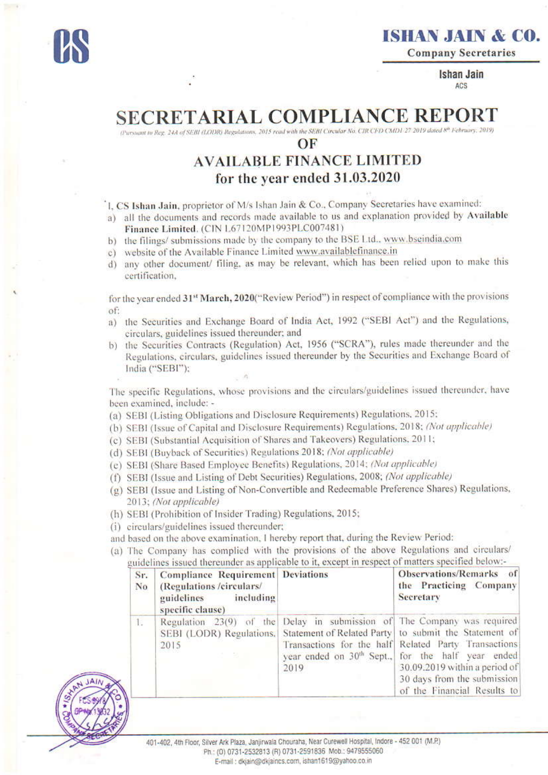

**Company Secretaries** 

**Ishan Jain** ACS

## **SECRETARIAL COMPLIANCE REPOR**

(Pursuant to Reg. 24A of SEBI (LODR) Regulations, 2015 read with the SEBI Circular No. CIR CFD CMD1-27 2019 dated 8th February, 2019)

## OF

## **AVAILABLE FINANCE LIMITED** for the year ended 31.03.2020

I. CS Ishan Jain, proprietor of M/s Ishan Jain & Co., Company Secretaries have examined:

a) all the documents and records made available to us and explanation provided by Available Finance Limited. (CIN L67120MP1993PLC007481)

- b) the filings/submissions made by the company to the BSE Ltd., www.bseindia.com
- c) website of the Available Finance Limited www.availablefinance.in
- d) any other document/ filing, as may be relevant, which has been relied upon to make this certification,

for the year ended 31<sup>st</sup> March, 2020("Review Period") in respect of compliance with the provisions of:

- a) the Securities and Exchange Board of India Act, 1992 ("SEBI Act") and the Regulations, circulars, guidelines issued thereunder; and
- b) the Securities Contracts (Regulation) Act, 1956 ("SCRA"), rules made thereunder and the Regulations, circulars, guidelines issued thereunder by the Securities and Exchange Board of India ("SEBI");

The specific Regulations, whose provisions and the circulars/guidelines issued thereunder, have been examined, include: -

- (a) SEBI (Listing Obligations and Disclosure Requirements) Regulations, 2015:
- (b) SEBI (Issue of Capital and Disclosure Requirements) Regulations, 2018; (Not applicable)
- (c) SEBI (Substantial Acquisition of Shares and Takeovers) Regulations, 2011;
- (d) SEBI (Buyback of Securities) Regulations 2018; (Not applicable)
- (e) SEBI (Share Based Employee Benefits) Regulations, 2014; (Not applicable)
- (f) SEBI (Issue and Listing of Debt Securities) Regulations, 2008; (Not applicable)
- (g) SEBI (Issue and Listing of Non-Convertible and Redeemable Preference Shares) Regulations, 2013; (Not applicable)
- (h) SEBI (Prohibition of Insider Trading) Regulations, 2015;
- (i) circulars/guidelines issued thereunder;
- and based on the above examination, I hereby report that, during the Review Period:
- (a) The Company has complied with the provisions of the above Regulations and circulars/ guidelines issued thereunder as applicable to it, except in respect of matters specified below:-

| Sr.<br>No | <b>Compliance Requirement Deviations</b><br>(Regulations /circulars/<br>guidelines including<br>specific clause) |      | Observations/Remarks of<br>the Practicing Company<br><b>Secretary</b>                                                                                                                                                                                                                                                                                                             |  |
|-----------|------------------------------------------------------------------------------------------------------------------|------|-----------------------------------------------------------------------------------------------------------------------------------------------------------------------------------------------------------------------------------------------------------------------------------------------------------------------------------------------------------------------------------|--|
| L.        | 2015                                                                                                             | 2019 | Regulation 23(9) of the Delay in submission of The Company was required<br>SEBI (LODR) Regulations. Statement of Related Party to submit the Statement of<br>Transactions for the half Related Party Transactions<br>year ended on 30 <sup>th</sup> Sept., for the half year ended<br>30.09.2019 within a period of<br>30 days from the submission<br>of the Financial Results to |  |

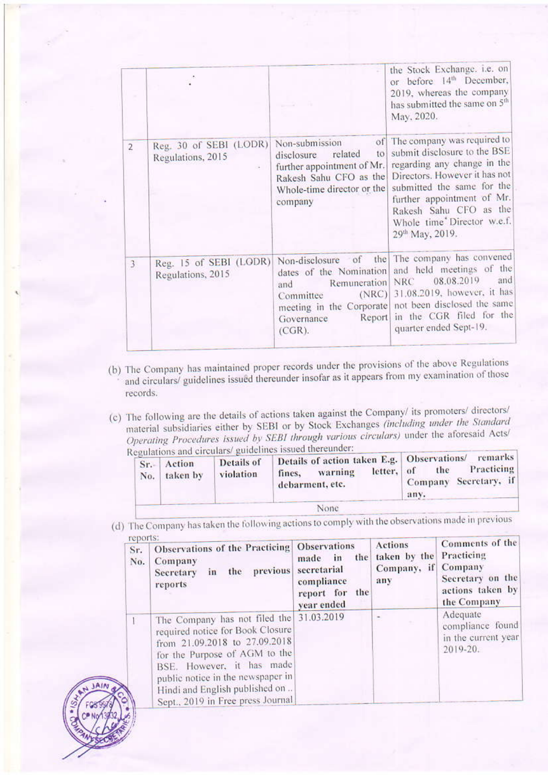|                |                                             |                                                                                                                                                | the Stock Exchange. i.e. on<br>or before 14th December,<br>2019, whereas the company<br>has submitted the same on 5 <sup>th</sup><br>May, 2020.                                                                                                                       |
|----------------|---------------------------------------------|------------------------------------------------------------------------------------------------------------------------------------------------|-----------------------------------------------------------------------------------------------------------------------------------------------------------------------------------------------------------------------------------------------------------------------|
| $\overline{2}$ | Reg. 30 of SEBI (LODR)<br>Regulations, 2015 | Non-submission<br>related<br>to<br>disclosure<br>further appointment of Mr.<br>Rakesh Sahu CFO as the<br>Whole-time director or the<br>company | of The company was required to<br>submit disclosure to the BSE<br>regarding any change in the<br>Directors. However it has not<br>submitted the same for the<br>further appointment of Mr.<br>Rakesh Sahu CFO as the<br>Whole time Director w.e.f.<br>29th May, 2019. |
| 3              | Reg. 15 of SEBI (LODR)<br>Regulations, 2015 | dates of the Nomination<br>Remuneration<br>and<br>(NRC)<br>Committee<br>Report<br>Governance<br>$(CGR)$ .                                      | Non-disclosure of the The company has convened<br>and held meetings of the<br>and<br>08.08.2019<br><b>NRC</b><br>31.08.2019, however, it has<br>meeting in the Corporate not been disclosed the same<br>in the CGR filed for the<br>quarter ended Sept-19.            |

- (b) The Company has maintained proper records under the provisions of the above Regulations and circulars/ guidelines issued thereunder insofar as it appears from my examination of those records.
- (c) The following are the details of actions taken against the Company/ its promoters/ directors/ material subsidiaries either by SEBI or by Stock Exchanges (including under the Standard Operating Procedures issued by SEBI through various circulars) under the aforesaid Acts/ containing and circulars/ guidelines issued thereunder:  $\overline{\mathbf{R}}$

| No. | Sr. Action<br>taken by | Details of<br>violation | Details of action taken E.g.   Observations/<br>letter, of<br>warning<br>fines.<br>debarment, etc. | remarks<br>Practicing<br>the<br>Company Secretary, if<br>any. |
|-----|------------------------|-------------------------|----------------------------------------------------------------------------------------------------|---------------------------------------------------------------|
|     |                        |                         | None                                                                                               |                                                               |

(d) The Company has taken the following actions to comply with the observations made in previous **ENDOPTED** 

| 101701134<br>Sr.<br>No. | Observations of the Practicing Observations<br>Company<br>previous<br>the<br>in<br>Secretary<br>reports                                                                                                                                                                      | the<br>made<br>in<br>secretarial<br>compliance<br>report for the<br>year ended | <b>Actions</b><br>taken by the Practicing<br>Company, if Company<br>any | Comments of the<br>Secretary on the<br>actions taken by<br>the Company |
|-------------------------|------------------------------------------------------------------------------------------------------------------------------------------------------------------------------------------------------------------------------------------------------------------------------|--------------------------------------------------------------------------------|-------------------------------------------------------------------------|------------------------------------------------------------------------|
|                         | The Company has not filed the<br>required notice for Book Closure<br>from 21.09.2018 to 27.09.2018<br>for the Purpose of AGM to the<br>BSE. However, it has made<br>public notice in the newspaper in<br>Hindi and English published on<br>Sept., 2019 in Free press Journal | 31.03.2019                                                                     | ×                                                                       | Adequate<br>compliance found<br>in the current year<br>$2019 - 20.$    |